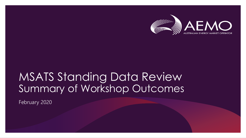

### MSATS Standing Data Review Summary of Workshop Outcomes

February 2020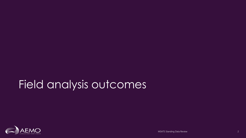### Field analysis outcomes

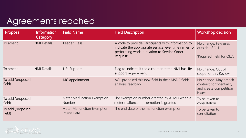| Proposal                   | Information<br>Category | <b>Field Name</b>                                 | <b>Field Description</b>                                                                                                                                                 | Workshop decision                                                                      |
|----------------------------|-------------------------|---------------------------------------------------|--------------------------------------------------------------------------------------------------------------------------------------------------------------------------|----------------------------------------------------------------------------------------|
| To amend                   | <b>NMI Details</b>      | <b>Feeder Class</b>                               | A code to provide Participants with information to<br>indicate the appropriate service level timeframes for<br>performing work in relation to Service Order<br>Requests. | No change. Few uses<br>outside of QLD.<br>'Required' field for QLD.                    |
| To amend                   | <b>NMI Details</b>      | Life Support                                      | Flag to indicate if the customer at the NMI has life<br>support requirement.                                                                                             | No change. Out of<br>scope for this Review.                                            |
| To add (proposed<br>field) |                         | MC appointment                                    | AGL proposed this new field in their MSDR fields<br>analysis feedback                                                                                                    | No change. May breach<br>contract confidentiality<br>and create competition<br>issues. |
| To add (proposed<br>field) |                         | Meter Malfunction Exemption<br>Number             | The exemption number granted by AEMO when a<br>meter malfunction exemption is granted                                                                                    | To be taken to<br>consultation                                                         |
| To add (proposed<br>field) |                         | Meter Malfunction Exemption<br><b>Expiry Date</b> | The end date of the malfunction exemption                                                                                                                                | To be taken to<br>consultation                                                         |

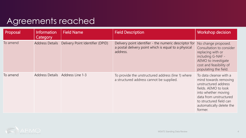| Proposal | <b>Information</b><br><b>Category</b> | <b>Field Name</b>                | <b>Field Description</b>                                                                                                   | <b>Workshop decision</b>                                                                                                                                                                                           |
|----------|---------------------------------------|----------------------------------|----------------------------------------------------------------------------------------------------------------------------|--------------------------------------------------------------------------------------------------------------------------------------------------------------------------------------------------------------------|
| To amend | <b>Address Details</b>                | Delivery Point Identifier (DPID) | Delivery point identifier - the numeric descriptor for<br>a postal delivery point which is equal to a physical<br>address. | No change proposed.<br>Consultation to consider<br>replacing with or<br>including G-NAF -<br>AEMO to investigate<br>cost and feasibility of<br>populating the field.                                               |
| To amend | <b>Address Details</b>                | Address Line 1-3                 | To provide the unstructured address (line 1) where<br>a structured address cannot be supplied.                             | To data cleanse with a<br>mind towards removing<br>unstructured address<br>fields. AEMO to look<br>into whether moving<br>data from unstructured<br>to structured field can<br>automatically delete the<br>former. |

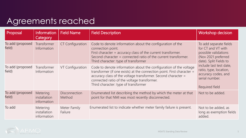| Proposal                   | <b>Information</b><br>Category                 | <b>Field Name</b>              | <b>Field Description</b>                                                                                                                                                                                                                                                                            | <b>Workshop decision</b>                                                                                              |
|----------------------------|------------------------------------------------|--------------------------------|-----------------------------------------------------------------------------------------------------------------------------------------------------------------------------------------------------------------------------------------------------------------------------------------------------|-----------------------------------------------------------------------------------------------------------------------|
| To add (proposed<br>field) | Transformer<br>Information                     | <b>CT Configuration</b>        | Code to denote information about the configuration of the<br>connection point.<br>First character $=$ accuracy class of the current transformer.<br>Second character $=$ connected ratio of the current transformer.<br>Third character: type of transformer                                        | To add separate fields<br>for CT and VT with<br>possible validations<br>(Nov 2021 preferred<br>date). Split Fields to |
| To add (proposed<br>field) | Transformer<br>Information                     | VT Configuration               | Code to denote information about the configuration of the voltage<br>transformer (if one exists) at the connection point. First character =<br>accuracy class of the voltage transformer. Second character =<br>connected ratio of the voltage transformer.<br>Third character: type of transformer | include last test date,<br>ratio, type, location,<br>accuracy codes, and<br>serial number.<br>Required field          |
| To add (proposed<br>field) | <b>Metering</b><br>installation<br>information | <b>Disconnection</b><br>Method | Enumerated list describing the method by which the meter at that<br>point for that NMI was most recently disconnected.                                                                                                                                                                              | Not to be added.                                                                                                      |
| To add                     | <b>Metering</b><br>installation<br>information | Meter Family<br>Failure        | Enumerated list to indicate whether meter family failure is present.                                                                                                                                                                                                                                | Not to be added, as<br>long as exemption fields<br>added.                                                             |

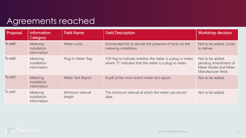| Proposal | Information<br><b>Category</b>                 | <b>Field Name</b>          | <b>Field Description</b>                                                                                             | <b>Workshop decision</b>                                                                 |
|----------|------------------------------------------------|----------------------------|----------------------------------------------------------------------------------------------------------------------|------------------------------------------------------------------------------------------|
| To add   | <b>Metering</b><br>installation<br>information | Meter Locks                | Enumerated list to denote the presence of locks on the<br>metering installation.                                     | Not to be added. Costly<br>to deliver.                                                   |
| To add   | Metering<br>installation<br>information        | Plug-In Meter flag         | Y/N flag to indicate whether the meter is a plug-in meter,<br>where "Y" indicates that the meter is a plug-in meter. | Not to be added,<br>pending amendment of<br>Meter Model and Meter<br>Manufacturer fields |
| To add   | Metering<br>installation<br>information        | Meter Test Report          | A pdf of the most recent meter test report.                                                                          | Not to be added.                                                                         |
| To add   | Metering<br>installation<br>information        | Minimum interval<br>length | The minimum interval at which the meter can record<br>data.                                                          | Not to be added.                                                                         |

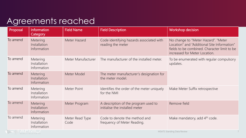| Proposal | <b>Information</b><br>Category                 | <b>Field Name</b>       | <b>Field Description</b>                                               | <b>Workshop decision</b>                                                                                                                                            |
|----------|------------------------------------------------|-------------------------|------------------------------------------------------------------------|---------------------------------------------------------------------------------------------------------------------------------------------------------------------|
| To amend | <b>Metering</b><br>Installation<br>Information | Meter Hazard            | Code identifying hazards associated with<br>reading the meter          | No change to "Meter Hazard". "Meter<br>Location" and "Additional Site Information"<br>fields to be combined. Character limit to be<br>increased for Meter Location. |
| To amend | Metering<br>Installation<br>Information        | Meter Manufacturer      | The manufacturer of the installed meter.                               | To be enumerated with regular compulsory<br>updates.                                                                                                                |
| To amend | Metering<br>Installation<br>Information        | Meter Model             | The meter manufacturer's designation for<br>the meter model.           |                                                                                                                                                                     |
| To amend | Metering<br>Installation<br>Information        | Meter Point             | Identifies the order of the meter uniquely<br>for the NMI              | Make Meter Suffix retrospective                                                                                                                                     |
| To amend | Metering<br>Installation<br>Information        | Meter Program           | A description of the program used to<br>initialise the installed meter | Remove field                                                                                                                                                        |
| To amend | Metering<br>Installation<br>Information        | Meter Read Type<br>Code | Code to denote the method and<br>frequency of Meter Reading.           | Make mandatory, add 4 <sup>th</sup> code.<br>MCATC Champles Deta Davisu                                                                                             |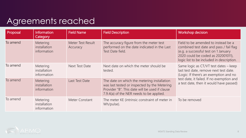| Proposal | <b>Information</b><br>Category                 | <b>Field Name</b>             | <b>Field Description</b>                                                                                                                                                                  | <b>Workshop decision</b>                                                                                                                                                                                  |
|----------|------------------------------------------------|-------------------------------|-------------------------------------------------------------------------------------------------------------------------------------------------------------------------------------------|-----------------------------------------------------------------------------------------------------------------------------------------------------------------------------------------------------------|
| To amend | Metering<br>installation<br>information        | Meter Test Result<br>Accuracy | The accuracy figure from the meter test<br>performed on the date indicated in the Last<br>Test Date field.                                                                                | Field to be amended to instead be a<br>combined test date and pass / fail flag<br>(e.g. a successful test on 1 January<br>2020 could be coded as 202001011),<br>logic list to be included in description. |
| To amend | Metering<br>installation<br>information        | Next Test Date                | Next date on which the meter should be<br>tested.                                                                                                                                         | Same logic as CT/VT test dates - keep<br>last test date, remove next test date.<br>(Logic: If there's an exemption and no                                                                                 |
| To amend | <b>Metering</b><br>installation<br>information | Last Test Date                | The date on which the metering installation<br>was last tested or inspected by the Metering<br>Provider "B". This date will be used if clause<br>7.9.4(a) of the NER needs to be applied. | test date, it failed. If no exemption and<br>a test date, then it would have passed)                                                                                                                      |
| To amend | <b>Metering</b><br>installation<br>information | Meter Constant                | The meter KE (intrinsic constraint of meter in<br>Wh/pulse).                                                                                                                              | To be removed                                                                                                                                                                                             |

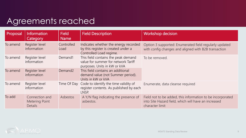| Proposal | <b>Information</b><br>Category                            | <b>Field</b><br><b>Name</b> | <b>Field Description</b>                                                                                   | Workshop decision                                                                                                                     |
|----------|-----------------------------------------------------------|-----------------------------|------------------------------------------------------------------------------------------------------------|---------------------------------------------------------------------------------------------------------------------------------------|
| To amend | Register level<br>information                             | Controlled<br>Load          | Indicates whether the energy recorded<br>by this register is created under a<br>Controlled Load regime.    | Option 3 supported: Enumerated field regularly updated<br>with config changes and aligned with B2B transaction                        |
| To amend | Register level<br>information                             | Demand1                     | This field contains the peak demand<br>value for summer for network Tariff<br>purposes. Units in kW or kVA | To be removed.                                                                                                                        |
| To amend | Register level<br>information                             | Demand <sub>2</sub>         | This field contains an additional<br>demand value (not Summer period).<br>Units in kW or kVA               |                                                                                                                                       |
| To amend | Register level<br>information                             |                             | Time Of Day Code to identify the time validity of<br>register contents. As published by each<br>LNSP.      | Enumerate, data cleanse required                                                                                                      |
| To add   | Connection and<br><b>Metering Point</b><br><b>Details</b> | Asbestos                    | A Y/N flag indicating the presence of<br>asbestos.                                                         | Field not to be added, this information to be incorporated<br>into Site Hazard field, which will have an increased<br>character limit |

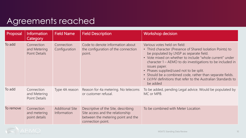| Proposal  | <b>Information</b><br>Category                     | <b>Field Name</b>                     | <b>Field Description</b>                                                                                                           | <b>Workshop decision</b>                                                                                                                                                                                                                                                                                                                                                                                                                                             |
|-----------|----------------------------------------------------|---------------------------------------|------------------------------------------------------------------------------------------------------------------------------------|----------------------------------------------------------------------------------------------------------------------------------------------------------------------------------------------------------------------------------------------------------------------------------------------------------------------------------------------------------------------------------------------------------------------------------------------------------------------|
| To add    | Connection<br>and Metering<br><b>Point Details</b> | Connection<br>Configuration           | Code to denote information about<br>the configuration of the connection<br>point.                                                  | Various votes held on field:<br>• Third character (Presence of Shared Isolation Points) to<br>be populated by LNSP as separate field.<br>• Vote mixed on whether to include "whole current" under<br>character 1 – AEMO to do investigations to be included in<br>issues paper.<br>• Phases supplied/used not to be split.<br>• Should be a combined code, rather than separate fields.<br>• LV/HV definitions that refer to the Australian Standards to<br>be added |
| To add    | Connection<br>and Metering<br><b>Point Details</b> | Type 4A reason                        | Reason for 4a metering. No telecoms<br>or customer refusal.                                                                        | To be added, pending Legal advice. Would be populated by<br>MC or MPB.                                                                                                                                                                                                                                                                                                                                                                                               |
| To remove | Connection<br>and metering<br>point details        | <b>Additional Site</b><br>Information | Descriptive of the Site, describing<br>Site access and the relationship<br>between the metering point and the<br>connection point. | To be combined with Meter Location                                                                                                                                                                                                                                                                                                                                                                                                                                   |

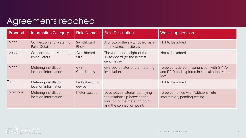| Proposal  | <b>Information Category</b>                            | <b>Field Name</b>           | <b>Field Description</b>                                                                                                        | <b>Workshop decision</b>                                                                              |
|-----------|--------------------------------------------------------|-----------------------------|---------------------------------------------------------------------------------------------------------------------------------|-------------------------------------------------------------------------------------------------------|
| To add    | <b>Connection and Metering</b><br><b>Point Details</b> | Switchboard<br>Photo        | A photo of the switchboard, as at<br>the most recent site visit.                                                                | Not to be added                                                                                       |
| To add    | Connection and Metering<br>Point Details               | Switchboard<br><b>Size</b>  | The width and height of the<br>switchboard (to the nearest<br>centimetre).                                                      | Not to be added                                                                                       |
| To add    | Metering installation<br>location information          | <b>GPS</b><br>Coordinates   | GPS coordinates of the metering<br>installation.                                                                                | To be considered in conjunction with G-NAF<br>and DPID and explored in consultation. Meter-<br>level. |
| To add    | Metering installation<br>location information          | Earliest expiring<br>device |                                                                                                                                 | Not to be added                                                                                       |
| To remove | Metering installation<br>location information          | Meter Location              | Descriptive material identifying<br>the relationship between the<br>location of the metering point<br>and the connection point. | To be combined with Additional Site<br>Information, pending testing.                                  |

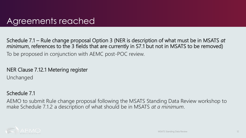Schedule 7.1 – Rule change proposal Option 3 (NER is description of what must be in MSATS *at minimum*, references to the 3 fields that are currently in S7.1 but not in MSATS to be removed) To be proposed in conjunction with AEMC post-POC review.

### NER Clause 7.12.1 Metering register

Unchanged

#### Schedule 7.1

AEMO to submit Rule change proposal following the MSATS Standing Data Review workshop to make Schedule 7.1.2 a description of what should be in MSATS *at a minimum*.

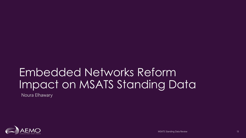## Embedded Networks Reform Impact on MSATS Standing Data

Noura Elhawary

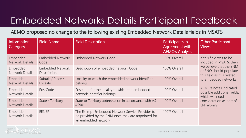### Embedded Networks Details Participant Feedback

AEMO proposed no change to the following existing Embedded Network Details fields in MSATS

| <b>Information</b><br>Category     | <b>Field Name</b>                      | <b>Field Description</b>                                                                                                     | Participants in<br>Agreement with<br><b>AEMO's Analysis</b> | <b>Other Participant</b><br><b>Views</b>                                         |
|------------------------------------|----------------------------------------|------------------------------------------------------------------------------------------------------------------------------|-------------------------------------------------------------|----------------------------------------------------------------------------------|
| Embedded<br><b>Network Details</b> | <b>Embedded Network</b><br>Code        | <b>Embedded Network Code.</b>                                                                                                | 100% Overall                                                | If this field was to be<br>included in MSATS, then                               |
| Embedded<br><b>Network Details</b> | <b>Embedded Network</b><br>Description | Description of embedded network Code                                                                                         | 100% Overall                                                | we believe that the ENM<br>or ENO should populate<br>this field as it is related |
| Embedded<br><b>Network Details</b> | Suburb / Place /<br>Locality           | Locality to which the embedded network identifier<br>belongs.                                                                | 100% Overall                                                | to embedded networks                                                             |
| Embedded<br><b>Network Details</b> | PostCode                               | Postcode for the locality to which the embedded<br>network identifier belongs.                                               | 100% Overall                                                | AEMO's notes indicated<br>possible additional fields,<br>which will need         |
| Embedded<br><b>Network Details</b> | State / Territory                      | State or Territory abbreviation in accordance with AS<br>4590.                                                               | 100% Overall                                                | consideration as part of<br>EN reforms.                                          |
| Embedded<br><b>Network Details</b> | <b>EENSP</b>                           | The Exempt Embedded Network Service Provider to<br>be provided by the ENM once they are appointed for<br>an embedded network | 100% Overall                                                |                                                                                  |

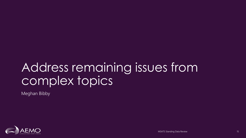## Address remaining issues from complex topics

Meghan Bibby

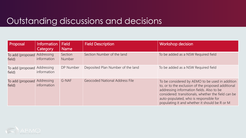| Proposal                              | Information<br>Category   | <b>Field</b><br>Name | <b>Field Description</b>              | <b>Workshop decision</b>                                                                                                                                                                                                                                                                             |
|---------------------------------------|---------------------------|----------------------|---------------------------------------|------------------------------------------------------------------------------------------------------------------------------------------------------------------------------------------------------------------------------------------------------------------------------------------------------|
| To add (proposed Addressing<br>field) | information               | Section<br>Number    | Section Number of the land            | To be added as a NSW Required field                                                                                                                                                                                                                                                                  |
| To add (proposed<br>field)            | Addressing<br>information | DP Number            | Deposited Plan Number of the land     | To be added as a NSW Required field                                                                                                                                                                                                                                                                  |
| To add (proposed<br>field)            | Addressing<br>information | G-NAF                | <b>Geocoded National Address File</b> | To be considered by AEMO to be used in addition<br>to, or to the exclusion of the proposed additional<br>addressing information fields. Also to be<br>considered: transitionals, whether the field can be<br>auto-populated, who is responsible for<br>populating it and whether it should be R or M |

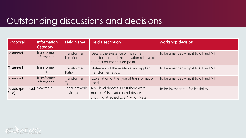| Proposal                             | <b>Information</b><br>Category | <b>Field Name</b>          | <b>Field Description</b>                                                                                           | <b>Workshop decision</b>           |
|--------------------------------------|--------------------------------|----------------------------|--------------------------------------------------------------------------------------------------------------------|------------------------------------|
| To amend                             | Transformer<br>Information     | Transformer<br>Location    | Details the existence of instrument<br>transformers and their location relative to<br>the market connection point. | To be amended - Split to CT and VT |
| To amend                             | Transformer<br>Information     | Transformer<br>Ratio       | Statement of the available and applied<br>transformer ratios.                                                      | To be amended - Split to CT and VT |
| To amend                             | Transformer<br>Information     | Transformer<br><b>Type</b> | Explanation of the type of transformation<br>used.                                                                 | To be amended - Split to CT and VT |
| To add (proposed New table<br>field) |                                | Other network<br>device(s) | NMI-level devices. EG: If there were<br>multiple CTs, load control devices,<br>anything attached to a NMI or Meter | To be investigated for feasibility |

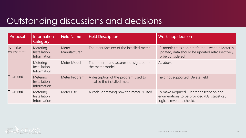| Proposal              | Information<br><b>Category</b>                 | <b>Field Name</b>     | <b>Field Description</b>                                               | <b>Workshop decision</b>                                                                                                 |
|-----------------------|------------------------------------------------|-----------------------|------------------------------------------------------------------------|--------------------------------------------------------------------------------------------------------------------------|
| To make<br>enumerated | <b>Metering</b><br>Installation<br>Information | Meter<br>Manufacturer | The manufacturer of the installed meter.                               | 12-month transition timeframe – when a Meter is<br>updated, data should be updated retrospectively.<br>To be considered. |
|                       | Metering<br>Installation<br>Information        | Meter Model           | The meter manufacturer's designation for<br>the meter model.           | As above                                                                                                                 |
| To amend              | <b>Metering</b><br>Installation<br>Information | Meter Program         | A description of the program used to<br>initialise the installed meter | Field not supported. Delete field                                                                                        |
| To amend              | Metering<br>Installation<br>Information        | Meter Use             | A code identifying how the meter is used.                              | To make Required. Clearer description and<br>enumerations to be provided (EG: statistical,<br>logical, revenue, check).  |

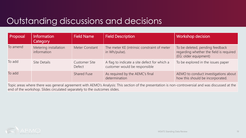| Proposal | Information<br><b>Category</b>       | <b>Field Name</b>              | <b>Field Description</b>                                                      | <b>Workshop decision</b>                                                                            |
|----------|--------------------------------------|--------------------------------|-------------------------------------------------------------------------------|-----------------------------------------------------------------------------------------------------|
| To amend | Metering installation<br>information | Meter Constant                 | The meter KE (intrinsic constraint of meter<br>in Wh/pulse).                  | To be deleted, pending feedback<br>regarding whether the field is required<br>(EG: older equipment) |
| To add   | Site Details                         | <b>Customer Site</b><br>Defect | A flag to indicate a site defect for which a<br>customer would be responsible | To be explored in the issues paper                                                                  |
| To add   |                                      | <b>Shared Fuse</b>             | As required by the AEMC's final<br>determination                              | AEMO to conduct investigations about<br>how this should be incorporated.                            |

Topic areas where there was general agreement with AEMO's Analysis: This section of the presentation is non-controversial and was discussed at the end of the workshop. Slides circulated separately to the outcomes slides.

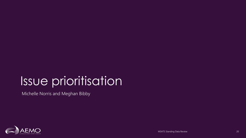# Issue prioritisation

Michelle Norris and Meghan Bibby

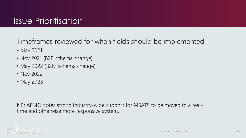Timeframes reviewed for when fields should be implemented

- May 2021
- Nov 2021 (B2B schema change)
- May 2022 (B2M schema change)
- Nov 2022
- May 2023

NB: AEMO notes strong industry-wide support for MSATS to be moved to a realtime and otherwise more responsive system.

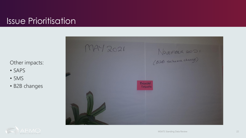### Issue Prioritisation

Other impacts:

- SAPS
- 5MS
- B2B changes



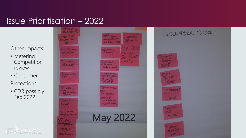### Issue Prioritisation – 2022

#### Other impacts:

- Metering Competition review
- Consumer Protections
- CDR possibly Feb 2022

| Meter Malf<br>$Cx$ empt $\Leftrightarrow$         |                                                                        |
|---------------------------------------------------|------------------------------------------------------------------------|
| Meler Malf<br>Enconformon<br>#                    | NATH Suffix<br>Address<br>rehospective +<br>Shickor<br>delete Muttoint |
| Meterhazard/<br>site hazerd                       | DP AD<br>Metartest<br>Accuracy<br>(NSW)<br>Section                     |
| Time of day<br>- Enumerate                        | (N5W)<br>Metaread<br>type code<br><b>Make manalalary</b>               |
| Addrhanal site<br>$m\omega$ ?                     | Last test datu<br>Vsamelogic<br>as CTM                                 |
| Contractled<br>Load<br>- en merated               | Metamonyeus<br>type<br>trchospectue<br>$Model$ $#$                     |
| CTVT<br>ficiols<br>$CT$ spiit                     | manufacturer<br>Keep+strentle                                          |
| Configuration<br>$\sqrt{1}$ s/dH<br>Configuration | <b>May 2022</b>                                                        |
| <b>CT/VT</b><br>Validation                        |                                                                        |

YOURMBER 2022 Demand Daman Delete Program meterianstant J detek? Meter USe code delete Minimum<br>International  $-1090$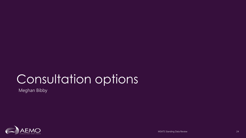# Consultation options

Meghan Bibby

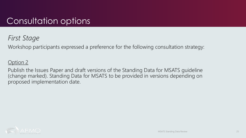### Consultation options

#### *First Stage*

Workshop participants expressed a preference for the following consultation strategy:

#### Option 2

Publish the Issues Paper and draft versions of the Standing Data for MSATS guideline (change marked). Standing Data for MSATS to be provided in versions depending on proposed implementation date.